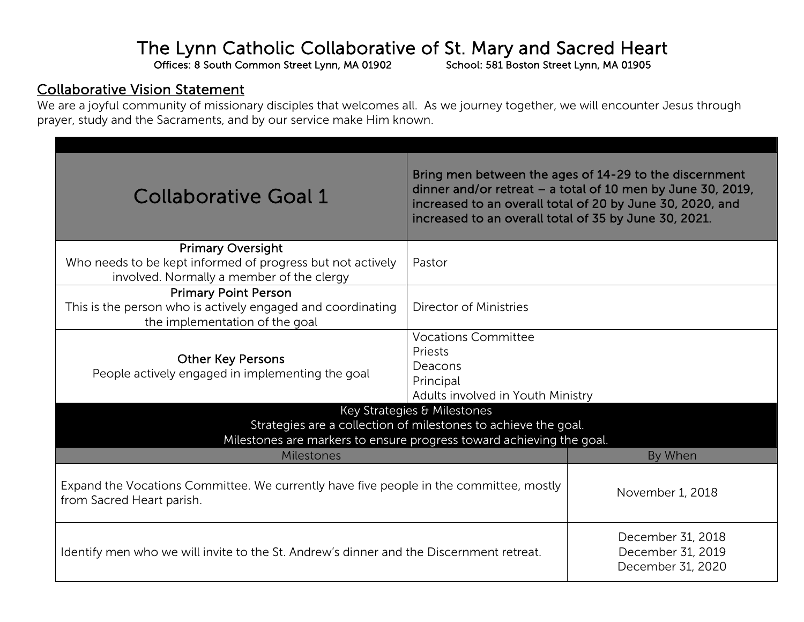## The Lynn Catholic Collaborative of St. Mary and Sacred Heart Offices: 8 South Common Street Lynn, MA 01902<br>School: 581 Boston Street Lynn, MA 01905

## Collaborative Vision Statement

We are a joyful community of missionary disciples that welcomes all. As we journey together, we will encounter Jesus through prayer, study and the Sacraments, and by our service make Him known.

| <b>Collaborative Goal 1</b>                                                                                                                                           | Bring men between the ages of 14-29 to the discernment<br>dinner and/or retreat - a total of 10 men by June 30, 2019,<br>increased to an overall total of 20 by June 30, 2020, and<br>increased to an overall total of 35 by June 30, 2021. |         |  |
|-----------------------------------------------------------------------------------------------------------------------------------------------------------------------|---------------------------------------------------------------------------------------------------------------------------------------------------------------------------------------------------------------------------------------------|---------|--|
| <b>Primary Oversight</b><br>Who needs to be kept informed of progress but not actively<br>involved. Normally a member of the clergy                                   | Pastor                                                                                                                                                                                                                                      |         |  |
| <b>Primary Point Person</b><br>This is the person who is actively engaged and coordinating<br>the implementation of the goal                                          | Director of Ministries                                                                                                                                                                                                                      |         |  |
| <b>Other Key Persons</b><br>People actively engaged in implementing the goal                                                                                          | <b>Vocations Committee</b><br>Priests<br>Deacons<br>Principal<br>Adults involved in Youth Ministry                                                                                                                                          |         |  |
| Key Strategies & Milestones<br>Strategies are a collection of milestones to achieve the goal.<br>Milestones are markers to ensure progress toward achieving the goal. |                                                                                                                                                                                                                                             |         |  |
| <b>Milestones</b>                                                                                                                                                     |                                                                                                                                                                                                                                             | By When |  |
| Expand the Vocations Committee. We currently have five people in the committee, mostly<br>from Sacred Heart parish.                                                   | November 1, 2018                                                                                                                                                                                                                            |         |  |
| Identify men who we will invite to the St. Andrew's dinner and the Discernment retreat.                                                                               | December 31, 2018<br>December 31, 2019<br>December 31, 2020                                                                                                                                                                                 |         |  |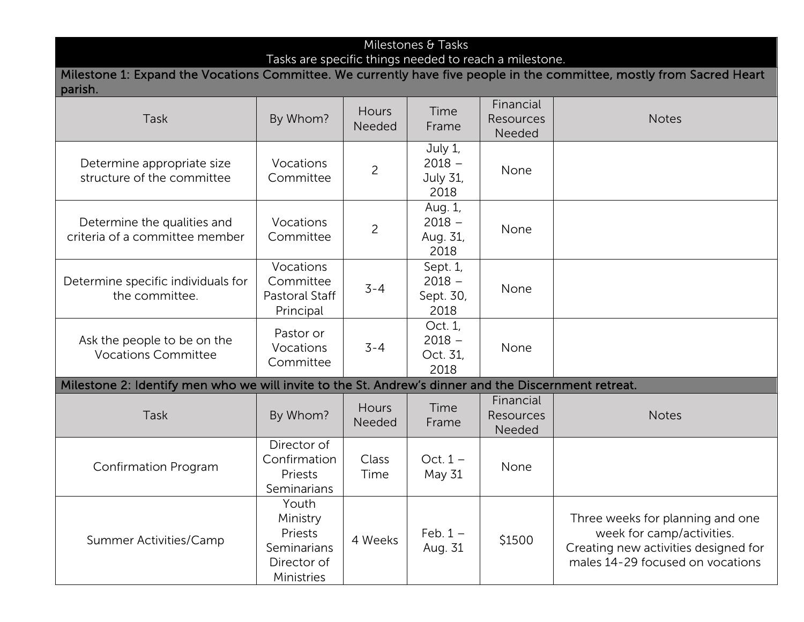## Milestones & Tasks

Tasks are specific things needed to reach a milestone.

Milestone 1: Expand the Vocations Committee. We currently have five people in the committee, mostly from Sacred Heart parish.

| <b>Task</b>                                                                                          | By Whom?                                                                 | Hours<br>Needed        | Time<br>Frame                             | Financial<br>Resources<br>Needed | <b>Notes</b>                                                                                                                              |
|------------------------------------------------------------------------------------------------------|--------------------------------------------------------------------------|------------------------|-------------------------------------------|----------------------------------|-------------------------------------------------------------------------------------------------------------------------------------------|
| Determine appropriate size<br>structure of the committee                                             | Vocations<br>Committee                                                   | $\overline{c}$         | July 1,<br>$2018 -$<br>July 31,<br>2018   | None                             |                                                                                                                                           |
| Determine the qualities and<br>criteria of a committee member                                        | Vocations<br>Committee                                                   | $\overline{c}$         | Aug. 1,<br>$2018 -$<br>Aug. 31,<br>2018   | None                             |                                                                                                                                           |
| Determine specific individuals for<br>the committee.                                                 | Vocations<br>Committee<br>Pastoral Staff<br>Principal                    | $3 - 4$                | Sept. 1,<br>$2018 -$<br>Sept. 30,<br>2018 | None                             |                                                                                                                                           |
| Ask the people to be on the<br><b>Vocations Committee</b>                                            | Pastor or<br>Vocations<br>Committee                                      | $3 - 4$                | Oct. 1,<br>$2018 -$<br>Oct. 31,<br>2018   | None                             |                                                                                                                                           |
| Milestone 2: Identify men who we will invite to the St. Andrew's dinner and the Discernment retreat. |                                                                          |                        |                                           |                                  |                                                                                                                                           |
| <b>Task</b>                                                                                          | By Whom?                                                                 | <b>Hours</b><br>Needed | Time<br>Frame                             | Financial<br>Resources<br>Needed | <b>Notes</b>                                                                                                                              |
| <b>Confirmation Program</b>                                                                          | Director of<br>Confirmation<br>Priests<br>Seminarians                    | Class<br>Time          | Oct. $1 -$<br>May 31                      | None                             |                                                                                                                                           |
| Summer Activities/Camp                                                                               | Youth<br>Ministry<br>Priests<br>Seminarians<br>Director of<br>Ministries | 4 Weeks                | Feb. $1 -$<br>Aug. 31                     | \$1500                           | Three weeks for planning and one<br>week for camp/activities.<br>Creating new activities designed for<br>males 14-29 focused on vocations |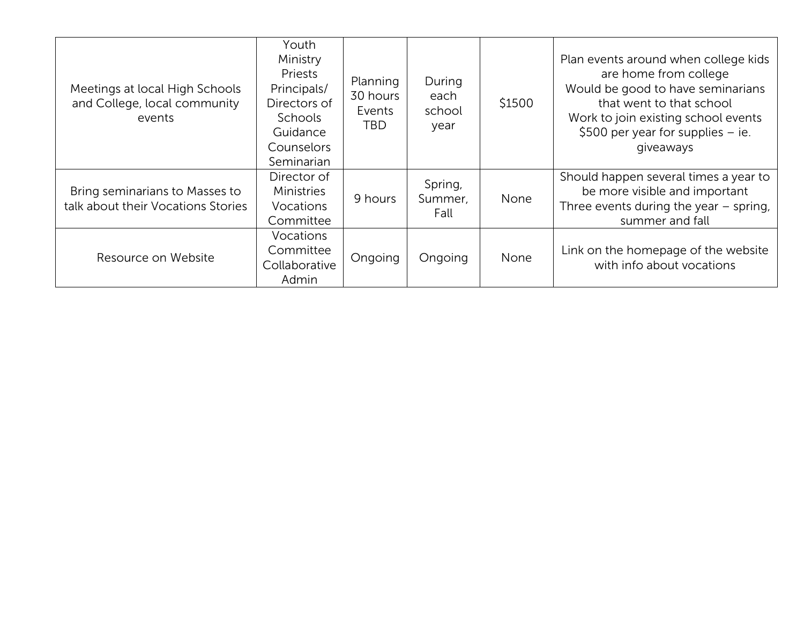| Meetings at local High Schools<br>and College, local community<br>events | Youth<br>Ministry<br>Priests<br>Principals/<br>Directors of<br><b>Schools</b><br>Guidance<br>Counselors<br>Seminarian | Planning<br>30 hours<br>Events<br>TBD. | During<br>each<br>school<br>year | \$1500 | Plan events around when college kids<br>are home from college<br>Would be good to have seminarians<br>that went to that school<br>Work to join existing school events<br>\$500 per year for supplies $-$ ie.<br>giveaways |
|--------------------------------------------------------------------------|-----------------------------------------------------------------------------------------------------------------------|----------------------------------------|----------------------------------|--------|---------------------------------------------------------------------------------------------------------------------------------------------------------------------------------------------------------------------------|
| Bring seminarians to Masses to<br>talk about their Vocations Stories     | Director of<br><b>Ministries</b><br>Vocations<br>Committee                                                            | 9 hours                                | Spring,<br>Summer,<br>Fall       | None   | Should happen several times a year to<br>be more visible and important<br>Three events during the year $-$ spring,<br>summer and fall                                                                                     |
| Resource on Website                                                      | <b>Vocations</b><br>Committee<br>Collaborative<br>Admin                                                               | Ongoing                                | Ongoing                          | None   | Link on the homepage of the website<br>with info about vocations                                                                                                                                                          |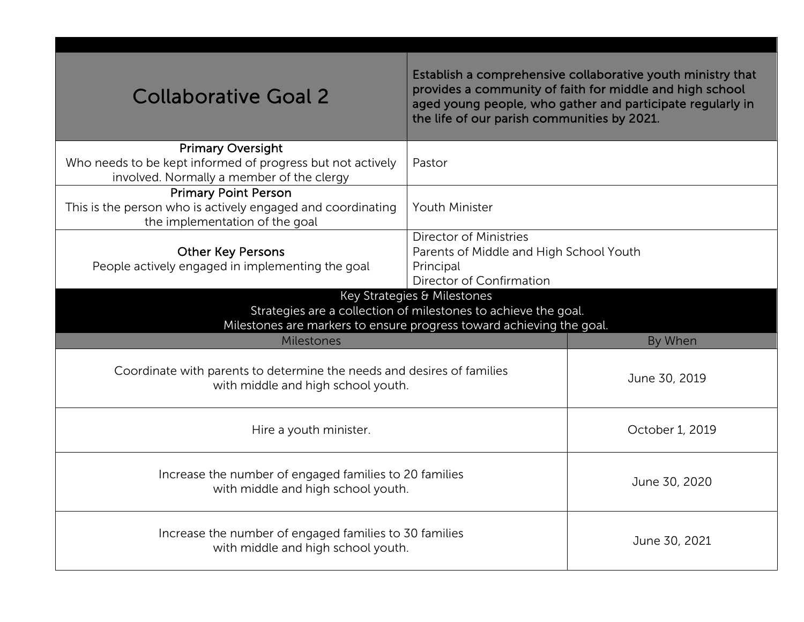| <b>Collaborative Goal 2</b>                                                                                                                                                                       | Establish a comprehensive collaborative youth ministry that<br>provides a community of faith for middle and high school<br>aged young people, who gather and participate regularly in<br>the life of our parish communities by 2021. |         |  |
|---------------------------------------------------------------------------------------------------------------------------------------------------------------------------------------------------|--------------------------------------------------------------------------------------------------------------------------------------------------------------------------------------------------------------------------------------|---------|--|
| <b>Primary Oversight</b><br>Who needs to be kept informed of progress but not actively<br>involved. Normally a member of the clergy                                                               | Pastor                                                                                                                                                                                                                               |         |  |
| <b>Primary Point Person</b><br>This is the person who is actively engaged and coordinating<br>the implementation of the goal                                                                      | <b>Youth Minister</b>                                                                                                                                                                                                                |         |  |
| <b>Director of Ministries</b><br><b>Other Key Persons</b><br>Parents of Middle and High School Youth<br>People actively engaged in implementing the goal<br>Principal<br>Director of Confirmation |                                                                                                                                                                                                                                      |         |  |
| Key Strategies & Milestones<br>Strategies are a collection of milestones to achieve the goal.<br>Milestones are markers to ensure progress toward achieving the goal.                             |                                                                                                                                                                                                                                      |         |  |
| Milestones                                                                                                                                                                                        |                                                                                                                                                                                                                                      | By When |  |
| Coordinate with parents to determine the needs and desires of families<br>with middle and high school youth.                                                                                      | June 30, 2019                                                                                                                                                                                                                        |         |  |
| Hire a youth minister.                                                                                                                                                                            | October 1, 2019                                                                                                                                                                                                                      |         |  |
| Increase the number of engaged families to 20 families<br>with middle and high school youth.                                                                                                      | June 30, 2020                                                                                                                                                                                                                        |         |  |
| Increase the number of engaged families to 30 families<br>with middle and high school youth.                                                                                                      | June 30, 2021                                                                                                                                                                                                                        |         |  |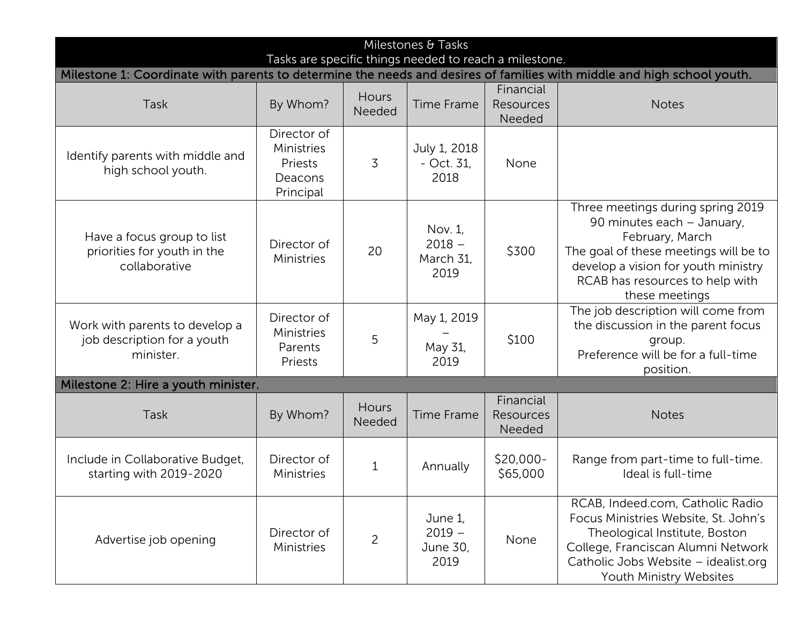| Milestones & Tasks                                                                                                                                                               |                                                              |                        |                                          |                                  |                                                                                                                                                                                                                         |  |  |  |
|----------------------------------------------------------------------------------------------------------------------------------------------------------------------------------|--------------------------------------------------------------|------------------------|------------------------------------------|----------------------------------|-------------------------------------------------------------------------------------------------------------------------------------------------------------------------------------------------------------------------|--|--|--|
| Tasks are specific things needed to reach a milestone.<br>Milestone 1: Coordinate with parents to determine the needs and desires of families with middle and high school youth. |                                                              |                        |                                          |                                  |                                                                                                                                                                                                                         |  |  |  |
| Task                                                                                                                                                                             | By Whom?                                                     | Hours<br>Needed        | <b>Time Frame</b>                        | Financial<br>Resources<br>Needed | <b>Notes</b>                                                                                                                                                                                                            |  |  |  |
| Identify parents with middle and<br>high school youth.                                                                                                                           | Director of<br>Ministries<br>Priests<br>Deacons<br>Principal | $\overline{3}$         | July 1, 2018<br>$-$ Oct. 31,<br>2018     | None                             |                                                                                                                                                                                                                         |  |  |  |
| Have a focus group to list<br>priorities for youth in the<br>collaborative                                                                                                       | Director of<br>Ministries                                    | 20                     | Nov. 1,<br>$2018 -$<br>March 31,<br>2019 | \$300                            | Three meetings during spring 2019<br>90 minutes each - January,<br>February, March<br>The goal of these meetings will be to<br>develop a vision for youth ministry<br>RCAB has resources to help with<br>these meetings |  |  |  |
| Work with parents to develop a<br>job description for a youth<br>minister.                                                                                                       | Director of<br>Ministries<br>Parents<br>Priests              | 5                      | May 1, 2019<br>May 31,<br>2019           | \$100                            | The job description will come from<br>the discussion in the parent focus<br>group.<br>Preference will be for a full-time<br>position.                                                                                   |  |  |  |
| Milestone 2: Hire a youth minister.                                                                                                                                              |                                                              |                        |                                          |                                  |                                                                                                                                                                                                                         |  |  |  |
| Task                                                                                                                                                                             | By Whom?                                                     | <b>Hours</b><br>Needed | <b>Time Frame</b>                        | Financial<br>Resources<br>Needed | <b>Notes</b>                                                                                                                                                                                                            |  |  |  |
| Include in Collaborative Budget,<br>starting with 2019-2020                                                                                                                      | Director of<br>Ministries                                    | $\mathbf 1$            | Annually                                 | \$20,000-<br>\$65,000            | Range from part-time to full-time.<br>Ideal is full-time                                                                                                                                                                |  |  |  |
| Advertise job opening                                                                                                                                                            | Director of<br>Ministries                                    | 2                      | June 1,<br>$2019 -$<br>June 30,<br>2019  | None                             | RCAB, Indeed.com, Catholic Radio<br>Focus Ministries Website, St. John's<br>Theological Institute, Boston<br>College, Franciscan Alumni Network<br>Catholic Jobs Website - idealist.org<br>Youth Ministry Websites      |  |  |  |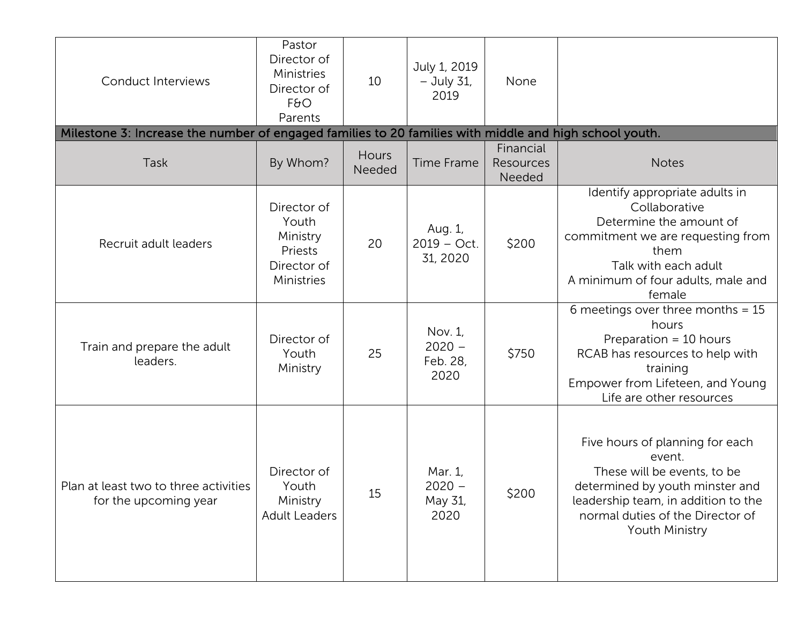| <b>Conduct Interviews</b>                                                                              | Pastor<br>Director of<br>Ministries<br>Director of<br>F6O<br>Parents     | 10              | July 1, 2019<br>$-$ July 31,<br>2019    | None                             |                                                                                                                                                                                                          |
|--------------------------------------------------------------------------------------------------------|--------------------------------------------------------------------------|-----------------|-----------------------------------------|----------------------------------|----------------------------------------------------------------------------------------------------------------------------------------------------------------------------------------------------------|
| Milestone 3: Increase the number of engaged families to 20 families with middle and high school youth. |                                                                          |                 |                                         |                                  |                                                                                                                                                                                                          |
| Task                                                                                                   | By Whom?                                                                 | Hours<br>Needed | <b>Time Frame</b>                       | Financial<br>Resources<br>Needed | <b>Notes</b>                                                                                                                                                                                             |
| Recruit adult leaders                                                                                  | Director of<br>Youth<br>Ministry<br>Priests<br>Director of<br>Ministries | 20              | Aug. 1,<br>$2019 - Oct.$<br>31, 2020    | \$200                            | Identify appropriate adults in<br>Collaborative<br>Determine the amount of<br>commitment we are requesting from<br>them<br>Talk with each adult<br>A minimum of four adults, male and<br>female          |
| Train and prepare the adult<br>leaders.                                                                | Director of<br>Youth<br>Ministry                                         | 25              | Nov. 1,<br>$2020 -$<br>Feb. 28,<br>2020 | \$750                            | 6 meetings over three months = $15$<br>hours<br>Preparation $=$ 10 hours<br>RCAB has resources to help with<br>training<br>Empower from Lifeteen, and Young<br>Life are other resources                  |
| Plan at least two to three activities<br>for the upcoming year                                         | Director of<br>Youth<br>Ministry<br><b>Adult Leaders</b>                 | 15              | Mar. 1,<br>$2020 -$<br>May 31,<br>2020  | \$200                            | Five hours of planning for each<br>event.<br>These will be events, to be<br>determined by youth minster and<br>leadership team, in addition to the<br>normal duties of the Director of<br>Youth Ministry |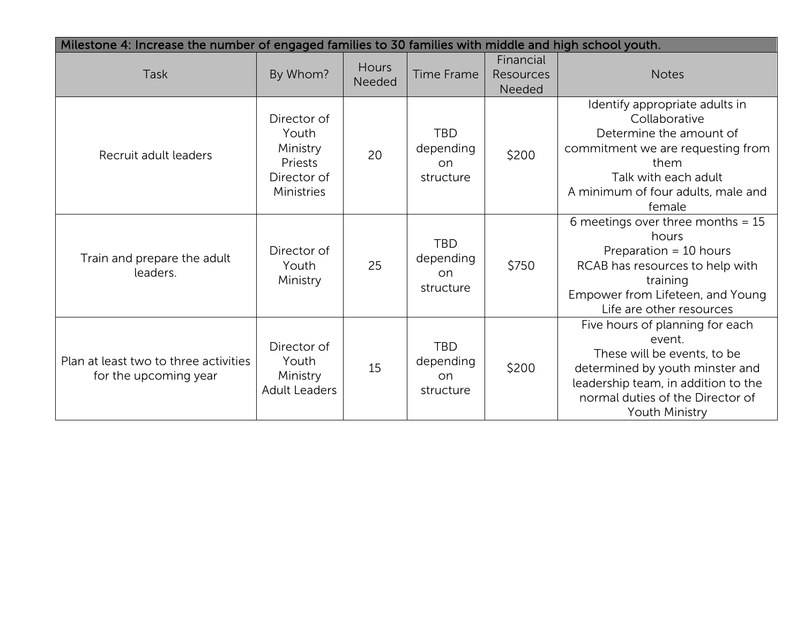| Milestone 4: Increase the number of engaged families to 30 families with middle and high school youth. |                                                                          |                 |                                             |                                         |                                                                                                                                                                                                                 |
|--------------------------------------------------------------------------------------------------------|--------------------------------------------------------------------------|-----------------|---------------------------------------------|-----------------------------------------|-----------------------------------------------------------------------------------------------------------------------------------------------------------------------------------------------------------------|
| Task                                                                                                   | By Whom?                                                                 | Hours<br>Needed | <b>Time Frame</b>                           | Financial<br><b>Resources</b><br>Needed | <b>Notes</b>                                                                                                                                                                                                    |
| Recruit adult leaders                                                                                  | Director of<br>Youth<br>Ministry<br>Priests<br>Director of<br>Ministries | 20              | <b>TBD</b><br>depending<br>on.<br>structure | \$200                                   | Identify appropriate adults in<br>Collaborative<br>Determine the amount of<br>commitment we are requesting from<br>them<br>Talk with each adult<br>A minimum of four adults, male and<br>female                 |
| Train and prepare the adult<br>leaders.                                                                | Director of<br>Youth<br>Ministry                                         | 25              | <b>TBD</b><br>depending<br>on.<br>structure | \$750                                   | 6 meetings over three months = $15$<br>hours<br>Preparation = 10 hours<br>RCAB has resources to help with<br>training<br>Empower from Lifeteen, and Young<br>Life are other resources                           |
| Plan at least two to three activities<br>for the upcoming year                                         | Director of<br>Youth<br>Ministry<br><b>Adult Leaders</b>                 | 15              | <b>TBD</b><br>depending<br>on.<br>structure | \$200                                   | Five hours of planning for each<br>event.<br>These will be events, to be<br>determined by youth minster and<br>leadership team, in addition to the<br>normal duties of the Director of<br><b>Youth Ministry</b> |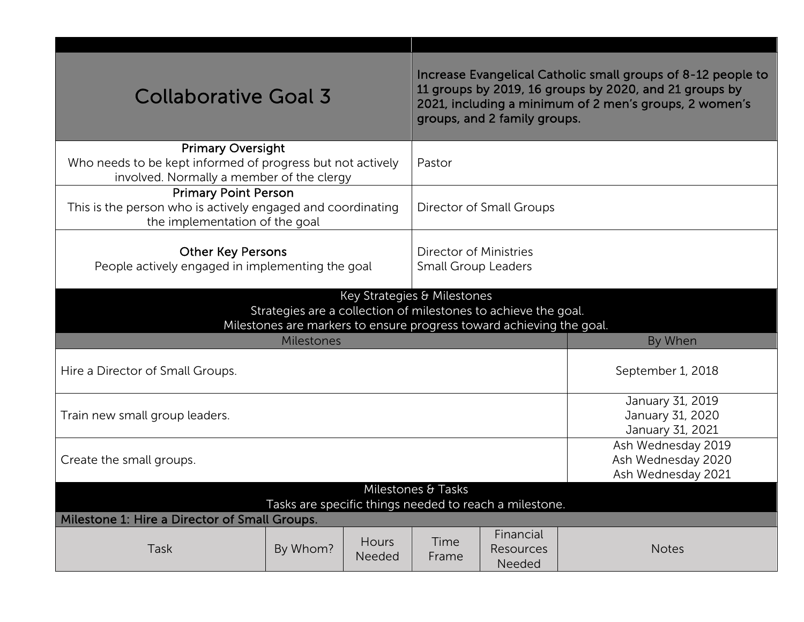| <b>Collaborative Goal 3</b>                                                                                                                                           |                    |                        | Increase Evangelical Catholic small groups of 8-12 people to<br>11 groups by 2019, 16 groups by 2020, and 21 groups by<br>2021, including a minimum of 2 men's groups, 2 women's<br>groups, and 2 family groups. |                                                                |                                                          |  |
|-----------------------------------------------------------------------------------------------------------------------------------------------------------------------|--------------------|------------------------|------------------------------------------------------------------------------------------------------------------------------------------------------------------------------------------------------------------|----------------------------------------------------------------|----------------------------------------------------------|--|
| <b>Primary Oversight</b><br>Who needs to be kept informed of progress but not actively<br>Pastor<br>involved. Normally a member of the clergy                         |                    |                        |                                                                                                                                                                                                                  |                                                                |                                                          |  |
| <b>Primary Point Person</b><br>This is the person who is actively engaged and coordinating<br>Director of Small Groups<br>the implementation of the goal              |                    |                        |                                                                                                                                                                                                                  |                                                                |                                                          |  |
| <b>Other Key Persons</b><br>Director of Ministries<br>People actively engaged in implementing the goal<br><b>Small Group Leaders</b>                                  |                    |                        |                                                                                                                                                                                                                  |                                                                |                                                          |  |
| Key Strategies & Milestones<br>Strategies are a collection of milestones to achieve the goal.<br>Milestones are markers to ensure progress toward achieving the goal. |                    |                        |                                                                                                                                                                                                                  |                                                                |                                                          |  |
|                                                                                                                                                                       | Milestones         |                        |                                                                                                                                                                                                                  |                                                                | By When                                                  |  |
| Hire a Director of Small Groups.                                                                                                                                      |                    |                        |                                                                                                                                                                                                                  | September 1, 2018                                              |                                                          |  |
| Train new small group leaders.                                                                                                                                        |                    |                        |                                                                                                                                                                                                                  |                                                                | January 31, 2019<br>January 31, 2020<br>January 31, 2021 |  |
| Create the small groups.                                                                                                                                              |                    |                        |                                                                                                                                                                                                                  | Ash Wednesday 2019<br>Ash Wednesday 2020<br>Ash Wednesday 2021 |                                                          |  |
|                                                                                                                                                                       | Milestones & Tasks |                        |                                                                                                                                                                                                                  |                                                                |                                                          |  |
| Tasks are specific things needed to reach a milestone.                                                                                                                |                    |                        |                                                                                                                                                                                                                  |                                                                |                                                          |  |
| Milestone 1: Hire a Director of Small Groups.                                                                                                                         |                    |                        |                                                                                                                                                                                                                  |                                                                |                                                          |  |
| Task                                                                                                                                                                  | By Whom?           | <b>Hours</b><br>Needed | Time<br>Frame                                                                                                                                                                                                    | Financial<br>Resources<br>Needed                               | <b>Notes</b>                                             |  |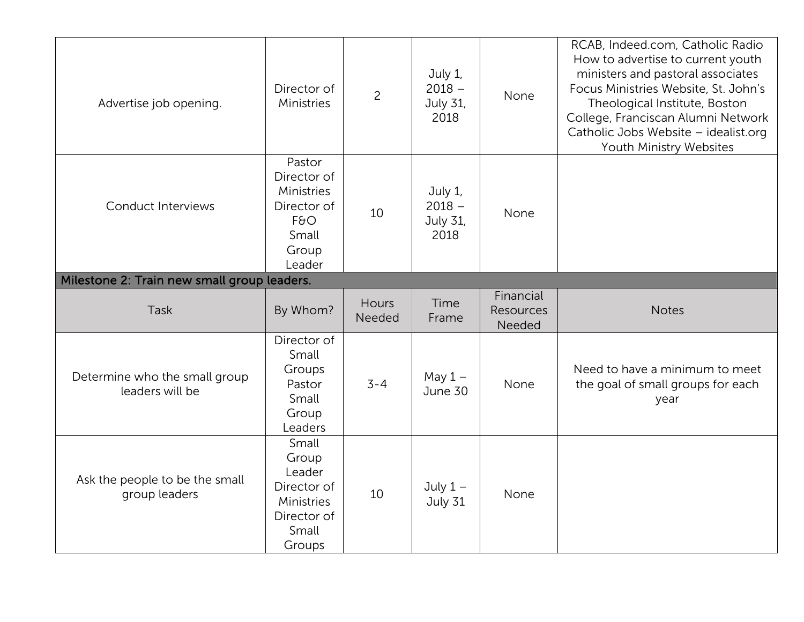| Advertise job opening.                           | Director of<br>Ministries                                                               | $\overline{c}$  | July 1,<br>$2018 -$<br><b>July 31,</b><br>2018 | None                             | RCAB, Indeed.com, Catholic Radio<br>How to advertise to current youth<br>ministers and pastoral associates<br>Focus Ministries Website, St. John's<br>Theological Institute, Boston<br>College, Franciscan Alumni Network<br>Catholic Jobs Website - idealist.org<br>Youth Ministry Websites |
|--------------------------------------------------|-----------------------------------------------------------------------------------------|-----------------|------------------------------------------------|----------------------------------|----------------------------------------------------------------------------------------------------------------------------------------------------------------------------------------------------------------------------------------------------------------------------------------------|
| <b>Conduct Interviews</b>                        | Pastor<br>Director of<br>Ministries<br>Director of<br>F6O<br>Small<br>Group<br>Leader   | 10              | July 1,<br>$2018 -$<br>July 31,<br>2018        | None                             |                                                                                                                                                                                                                                                                                              |
| Milestone 2: Train new small group leaders.      |                                                                                         |                 |                                                |                                  |                                                                                                                                                                                                                                                                                              |
| Task                                             | By Whom?                                                                                | Hours<br>Needed | Time<br>Frame                                  | Financial<br>Resources<br>Needed | <b>Notes</b>                                                                                                                                                                                                                                                                                 |
| Determine who the small group<br>leaders will be | Director of<br>Small<br>Groups<br>Pastor<br>Small<br>Group<br>Leaders                   | $3 - 4$         | May $1 -$<br>June 30                           | None                             | Need to have a minimum to meet<br>the goal of small groups for each<br>year                                                                                                                                                                                                                  |
| Ask the people to be the small<br>group leaders  | Small<br>Group<br>Leader<br>Director of<br>Ministries<br>Director of<br>Small<br>Groups | 10              | July $1 -$<br>July 31                          | None                             |                                                                                                                                                                                                                                                                                              |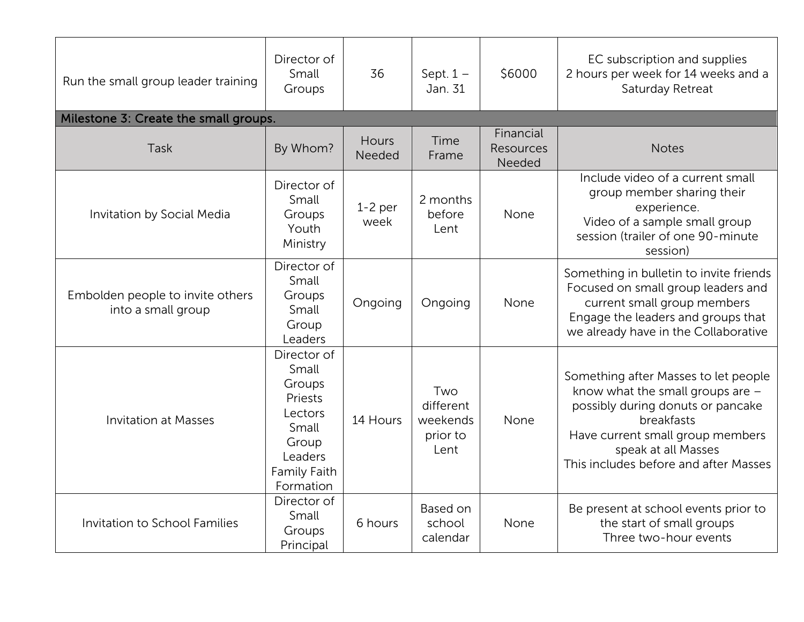| Run the small group leader training                    | Director of<br>Small<br>Groups                                                                                 | 36                | Sept. $1 -$<br>Jan. 31                           | \$6000                                  | EC subscription and supplies<br>2 hours per week for 14 weeks and a<br>Saturday Retreat                                                                                                                                         |
|--------------------------------------------------------|----------------------------------------------------------------------------------------------------------------|-------------------|--------------------------------------------------|-----------------------------------------|---------------------------------------------------------------------------------------------------------------------------------------------------------------------------------------------------------------------------------|
| Milestone 3: Create the small groups.                  |                                                                                                                |                   |                                                  |                                         |                                                                                                                                                                                                                                 |
| Task                                                   | By Whom?                                                                                                       | Hours<br>Needed   | Time<br>Frame                                    | Financial<br><b>Resources</b><br>Needed | <b>Notes</b>                                                                                                                                                                                                                    |
| Invitation by Social Media                             | Director of<br>Small<br>Groups<br>Youth<br>Ministry                                                            | $1-2$ per<br>week | 2 months<br>before<br>Lent                       | None                                    | Include video of a current small<br>group member sharing their<br>experience.<br>Video of a sample small group<br>session (trailer of one 90-minute<br>session)                                                                 |
| Embolden people to invite others<br>into a small group | Director of<br>Small<br>Groups<br>Small<br>Group<br>Leaders                                                    | Ongoing           | Ongoing                                          | None                                    | Something in bulletin to invite friends<br>Focused on small group leaders and<br>current small group members<br>Engage the leaders and groups that<br>we already have in the Collaborative                                      |
| <b>Invitation at Masses</b>                            | Director of<br>Small<br>Groups<br>Priests<br>Lectors<br>Small<br>Group<br>Leaders<br>Family Faith<br>Formation | 14 Hours          | Two<br>different<br>weekends<br>prior to<br>Lent | None                                    | Something after Masses to let people<br>know what the small groups are -<br>possibly during donuts or pancake<br>breakfasts<br>Have current small group members<br>speak at all Masses<br>This includes before and after Masses |
| Invitation to School Families                          | Director of<br>Small<br>Groups<br>Principal                                                                    | 6 hours           | Based on<br>school<br>calendar                   | None                                    | Be present at school events prior to<br>the start of small groups<br>Three two-hour events                                                                                                                                      |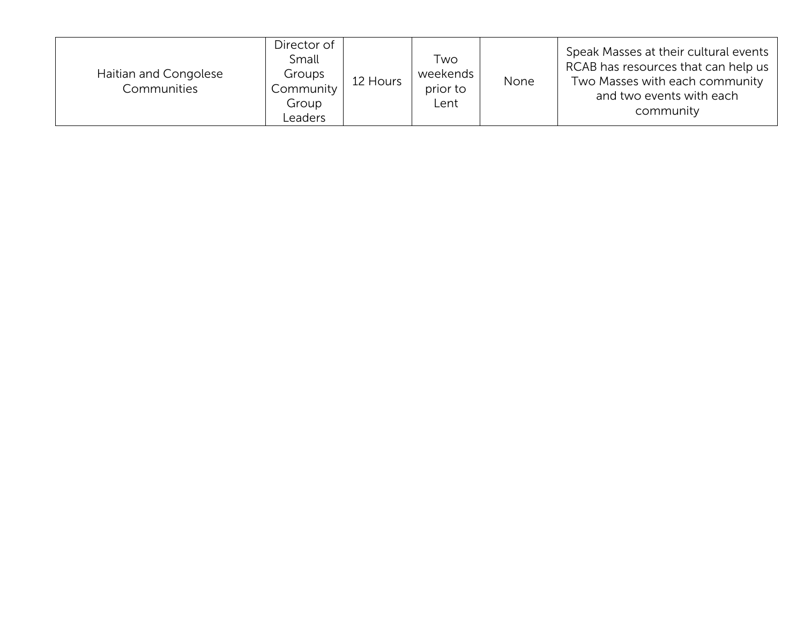| Haitian and Congolese<br>Communities | Director of<br>Small<br>Groups<br>Community<br>Group<br>_eaders | 12 Hours | Two<br>weekends<br>prior to<br>Lent | None | Speak Masses at their cultural events<br>RCAB has resources that can help us<br>Two Masses with each community<br>and two events with each<br>community |
|--------------------------------------|-----------------------------------------------------------------|----------|-------------------------------------|------|---------------------------------------------------------------------------------------------------------------------------------------------------------|
|--------------------------------------|-----------------------------------------------------------------|----------|-------------------------------------|------|---------------------------------------------------------------------------------------------------------------------------------------------------------|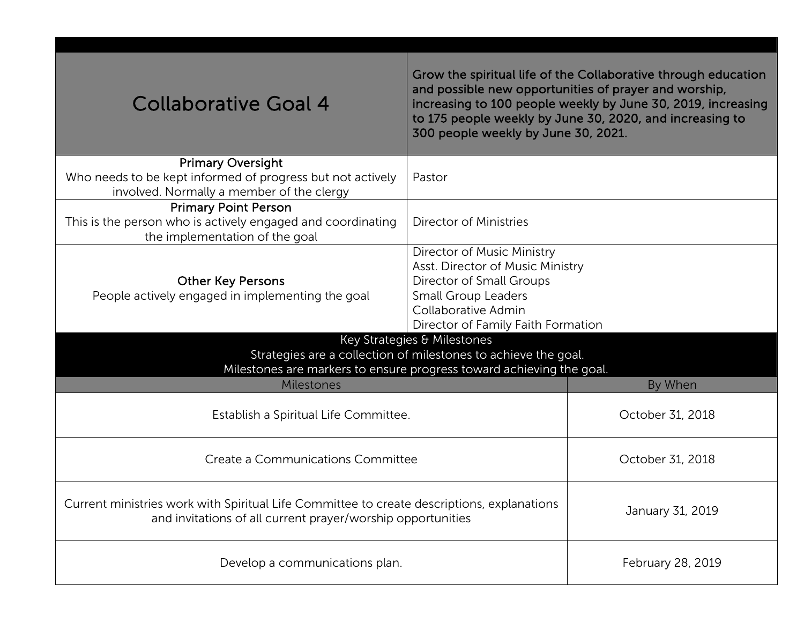| <b>Collaborative Goal 4</b>                                                                                                                               | 300 people weekly by June 30, 2021.                                                                                                                                                   | Grow the spiritual life of the Collaborative through education<br>and possible new opportunities of prayer and worship,<br>increasing to 100 people weekly by June 30, 2019, increasing<br>to 175 people weekly by June 30, 2020, and increasing to |
|-----------------------------------------------------------------------------------------------------------------------------------------------------------|---------------------------------------------------------------------------------------------------------------------------------------------------------------------------------------|-----------------------------------------------------------------------------------------------------------------------------------------------------------------------------------------------------------------------------------------------------|
| <b>Primary Oversight</b>                                                                                                                                  |                                                                                                                                                                                       |                                                                                                                                                                                                                                                     |
| Who needs to be kept informed of progress but not actively<br>involved. Normally a member of the clergy                                                   | Pastor                                                                                                                                                                                |                                                                                                                                                                                                                                                     |
| <b>Primary Point Person</b>                                                                                                                               |                                                                                                                                                                                       |                                                                                                                                                                                                                                                     |
| This is the person who is actively engaged and coordinating<br>the implementation of the goal                                                             | Director of Ministries                                                                                                                                                                |                                                                                                                                                                                                                                                     |
| <b>Other Key Persons</b><br>People actively engaged in implementing the goal                                                                              | Director of Music Ministry<br>Asst. Director of Music Ministry<br>Director of Small Groups<br><b>Small Group Leaders</b><br>Collaborative Admin<br>Director of Family Faith Formation |                                                                                                                                                                                                                                                     |
|                                                                                                                                                           | Key Strategies & Milestones                                                                                                                                                           |                                                                                                                                                                                                                                                     |
|                                                                                                                                                           | Strategies are a collection of milestones to achieve the goal.                                                                                                                        |                                                                                                                                                                                                                                                     |
| Milestones are markers to ensure progress toward achieving the goal.                                                                                      |                                                                                                                                                                                       |                                                                                                                                                                                                                                                     |
| <b>Milestones</b>                                                                                                                                         |                                                                                                                                                                                       | By When                                                                                                                                                                                                                                             |
| Establish a Spiritual Life Committee.                                                                                                                     |                                                                                                                                                                                       | October 31, 2018                                                                                                                                                                                                                                    |
|                                                                                                                                                           |                                                                                                                                                                                       |                                                                                                                                                                                                                                                     |
| Create a Communications Committee                                                                                                                         | October 31, 2018                                                                                                                                                                      |                                                                                                                                                                                                                                                     |
| Current ministries work with Spiritual Life Committee to create descriptions, explanations<br>and invitations of all current prayer/worship opportunities |                                                                                                                                                                                       | January 31, 2019                                                                                                                                                                                                                                    |
| Develop a communications plan.                                                                                                                            |                                                                                                                                                                                       | February 28, 2019                                                                                                                                                                                                                                   |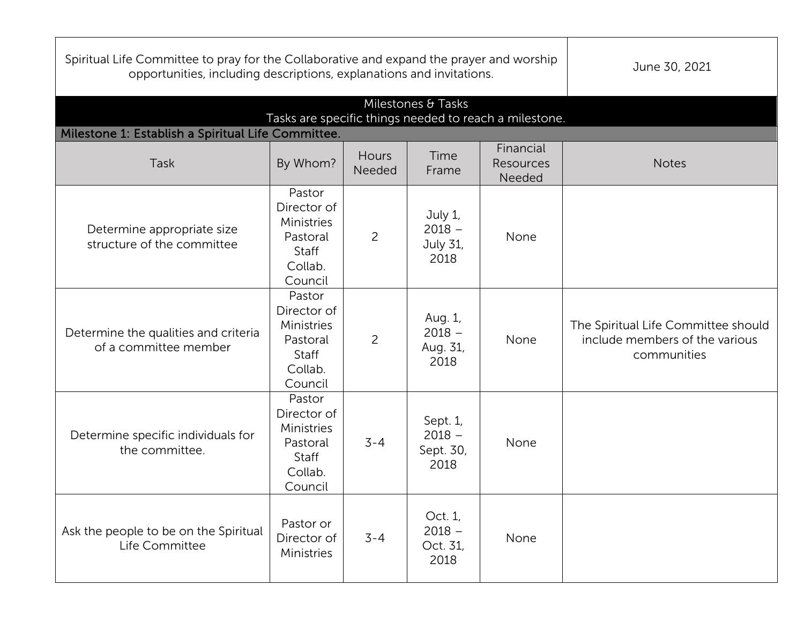| Spiritual Life Committee to pray for the Collaborative and expand the prayer and worship<br>opportunities, including descriptions, explanations and invitations. | June 30, 2021                                                                         |                 |                                           |                                  |                                                                                      |
|------------------------------------------------------------------------------------------------------------------------------------------------------------------|---------------------------------------------------------------------------------------|-----------------|-------------------------------------------|----------------------------------|--------------------------------------------------------------------------------------|
| Tasks are specific things needed to reach a milestone.                                                                                                           |                                                                                       |                 |                                           |                                  |                                                                                      |
| Milestone 1: Establish a Spiritual Life Committee.                                                                                                               |                                                                                       |                 |                                           |                                  |                                                                                      |
| Task                                                                                                                                                             | By Whom?                                                                              | Hours<br>Needed | Time<br>Frame                             | Financial<br>Resources<br>Needed | <b>Notes</b>                                                                         |
| Determine appropriate size<br>structure of the committee                                                                                                         | Pastor<br>Director of<br>Ministries<br>Pastoral<br>Staff<br>Collab.<br>Council        | $\overline{c}$  | July 1,<br>$2018 -$<br>July 31,<br>2018   | None                             |                                                                                      |
| Determine the qualities and criteria<br>of a committee member                                                                                                    | Pastor<br>Director of<br>Ministries<br>Pastoral<br><b>Staff</b><br>Collab.<br>Council | $\overline{2}$  | Aug. 1,<br>$2018 -$<br>Aug. 31,<br>2018   | None                             | The Spiritual Life Committee should<br>include members of the various<br>communities |
| Determine specific individuals for<br>the committee.                                                                                                             | Pastor<br>Director of<br>Ministries<br>Pastoral<br>Staff<br>Collab.<br>Council        | $3 - 4$         | Sept. 1,<br>$2018 -$<br>Sept. 30,<br>2018 | None                             |                                                                                      |
| Ask the people to be on the Spiritual<br>Life Committee                                                                                                          | Pastor or<br>Director of<br>Ministries                                                | $3 - 4$         | Oct. 1,<br>$2018 -$<br>Oct. 31,<br>2018   | None                             |                                                                                      |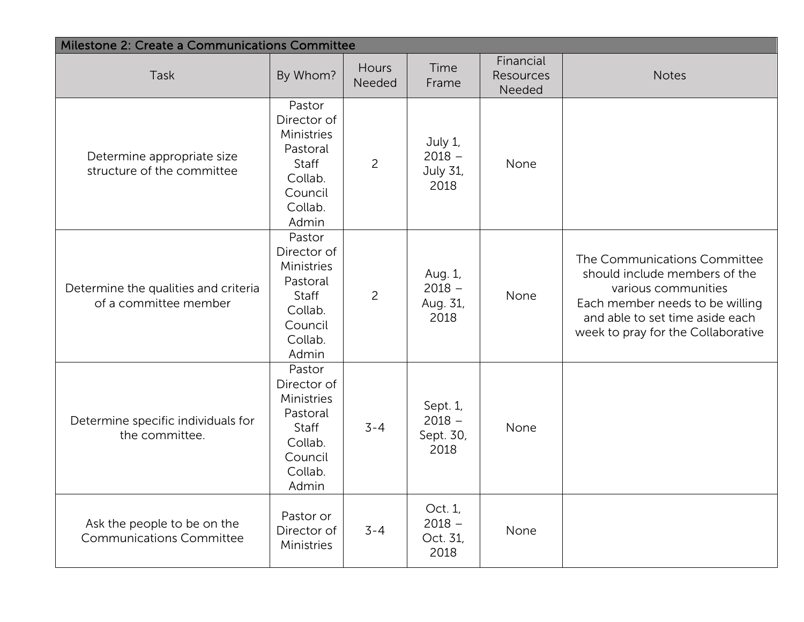| Milestone 2: Create a Communications Committee                 |                                                                                                    |                 |                                                |                                  |                                                                                                                                                                                                  |  |
|----------------------------------------------------------------|----------------------------------------------------------------------------------------------------|-----------------|------------------------------------------------|----------------------------------|--------------------------------------------------------------------------------------------------------------------------------------------------------------------------------------------------|--|
| Task                                                           | By Whom?                                                                                           | Hours<br>Needed | Time<br>Frame                                  | Financial<br>Resources<br>Needed | <b>Notes</b>                                                                                                                                                                                     |  |
| Determine appropriate size<br>structure of the committee       | Pastor<br>Director of<br>Ministries<br>Pastoral<br>Staff<br>Collab.<br>Council<br>Collab.<br>Admin | $\overline{c}$  | July 1,<br>$2018 -$<br><b>July 31,</b><br>2018 | None                             |                                                                                                                                                                                                  |  |
| Determine the qualities and criteria<br>of a committee member  | Pastor<br>Director of<br>Ministries<br>Pastoral<br>Staff<br>Collab.<br>Council<br>Collab.<br>Admin | $\overline{c}$  | Aug. 1,<br>$2018 -$<br>Aug. 31,<br>2018        | None                             | The Communications Committee<br>should include members of the<br>various communities<br>Each member needs to be willing<br>and able to set time aside each<br>week to pray for the Collaborative |  |
| Determine specific individuals for<br>the committee.           | Pastor<br>Director of<br>Ministries<br>Pastoral<br>Staff<br>Collab.<br>Council<br>Collab.<br>Admin | $3 - 4$         | Sept. 1,<br>$2018 -$<br>Sept. 30,<br>2018      | None                             |                                                                                                                                                                                                  |  |
| Ask the people to be on the<br><b>Communications Committee</b> | Pastor or<br>Director of<br>Ministries                                                             | $3 - 4$         | Oct. 1,<br>$2018 -$<br>Oct. 31,<br>2018        | None                             |                                                                                                                                                                                                  |  |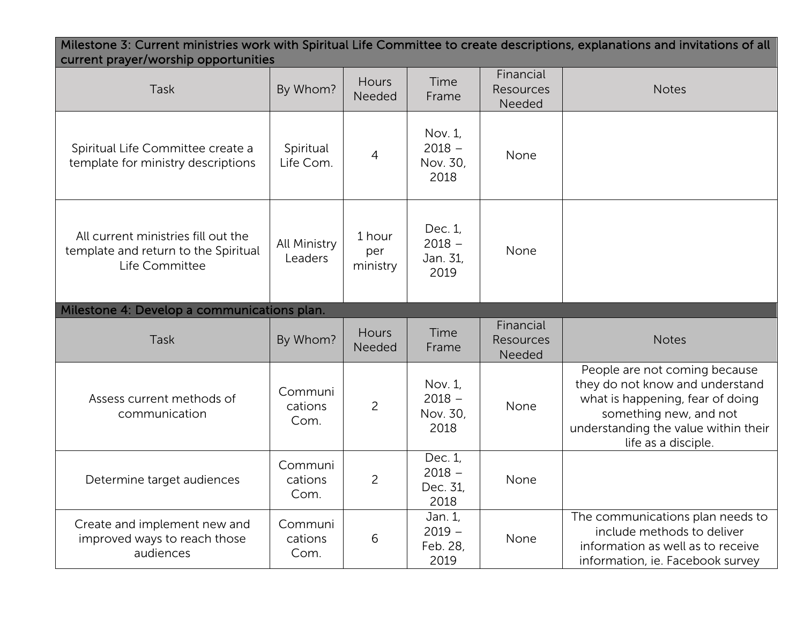| Milestone 3: Current ministries work with Spiritual Life Committee to create descriptions, explanations and invitations of all<br>current prayer/worship opportunities |                            |                           |                                         |                                  |                                                                                                                                                                                               |  |
|------------------------------------------------------------------------------------------------------------------------------------------------------------------------|----------------------------|---------------------------|-----------------------------------------|----------------------------------|-----------------------------------------------------------------------------------------------------------------------------------------------------------------------------------------------|--|
| Task                                                                                                                                                                   | By Whom?                   | Hours<br>Needed           | Time<br>Frame                           | Financial<br>Resources<br>Needed | <b>Notes</b>                                                                                                                                                                                  |  |
| Spiritual Life Committee create a<br>template for ministry descriptions                                                                                                | Spiritual<br>Life Com.     | 4                         | Nov. 1,<br>$2018 -$<br>Nov. 30,<br>2018 | None                             |                                                                                                                                                                                               |  |
| All current ministries fill out the<br>template and return to the Spiritual<br>Life Committee                                                                          | All Ministry<br>Leaders    | 1 hour<br>per<br>ministry | Dec. 1,<br>$2018 -$<br>Jan. 31,<br>2019 | None                             |                                                                                                                                                                                               |  |
| Milestone 4: Develop a communications plan.                                                                                                                            |                            |                           |                                         |                                  |                                                                                                                                                                                               |  |
| <b>Task</b>                                                                                                                                                            | By Whom?                   | Hours<br>Needed           | Time<br>Frame                           | Financial<br>Resources<br>Needed | <b>Notes</b>                                                                                                                                                                                  |  |
| Assess current methods of<br>communication                                                                                                                             | Communi<br>cations<br>Com. | $\overline{2}$            | Nov. 1,<br>$2018 -$<br>Nov. 30,<br>2018 | None                             | People are not coming because<br>they do not know and understand<br>what is happening, fear of doing<br>something new, and not<br>understanding the value within their<br>life as a disciple. |  |
| Determine target audiences                                                                                                                                             | Communi<br>cations<br>Com. | $\overline{c}$            | Dec. 1,<br>$2018 -$<br>Dec. 31,<br>2018 | None                             |                                                                                                                                                                                               |  |
|                                                                                                                                                                        |                            |                           |                                         |                                  |                                                                                                                                                                                               |  |